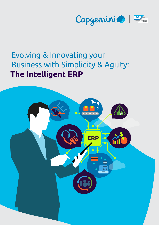

# Evolving & Innovating your Business with Simplicity & Agility: **The Intelligent ERP**

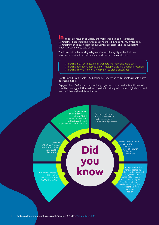today's revolution of Digital, the market for a cloud-first business transformation is exploding. Organizations are rapidly and heavily investing in transforming their business models, business processes and the supporting innovative technology platforms. **In**

The intent is to achieve a high degree of scalability, agility and ubiquitous information available in real-time and address the complexity of –

- Managing multi-business, multi-channels and more and more data
	- Managing operations at subsidiaries, multiple sites, multinational locations
- Managing a move from on-premise ERP to Cloud landscapes

**Did** 

**you** 

**know**

…with Speed, Predictable TCO, Continuous innovation and a Simple, reliable & safe operating model.

Capgemini and SAP work collaboratively together to provide clients with best-ofbreed technology solutions addressing client challenges in today's digital world and has the following key differentiators:

Capgemini has ample experience in defining Digital Transformation roadmaps resulting in accelerated implementation and lower TCO

We have accelerators ready and available for you to speed up the Fit-to-Standard processes

We have SAP S4HANA Cloud architects to design your ideal IT landscape

We have dedicated

We help build adapted solutions and undertake integrations with 3rd party applications

Capgemini has the hard and soft skills to help you innovate with SAP S/4HANA Cloud Artificial Intelligence, Machine Learning and Predictive analytics accelerator making the intelligent ERP your reality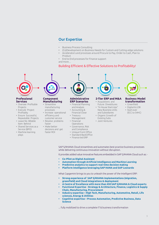# Our Expertise

- Business Process Consulting
- (Co)Development on Business Needs for Custom and Cutting-edge solutions
- Accelerators and processes around Procure to Pay, Order to Cash, Plan to Product
- End to End processes for Finance support and more…

# Building Efficient & Effective Solutions to Profitability!



#### **Professional Services**

- Oversee Profitable Projects
- Execute Project Profitably
- Ensure Successful, Repeatable Projects
- Leave No Billable Item Behind
- Shared Services as a Service (BPO)
- Machine learning plays

#### **Component Manufacturing** • Streamline

- manufacturing processes
- Increase operational efficiency and customer service
- Resolve problems faster
- Make better decisions and get
	- faster ROI
- Standard BackOffice • Finance led ERP

**Administrative ERP Scenarios** • Financial Planning and Analysis • Accounting & Financial Close • Treasury Management • Financial Operations • Governance, Risk and Compliance • Unique Front Office

## **2-Tier ERP and M&A**

- Acquisitions and Future Divestitures • "In House Start-Ups"
- New Business Units and Subsidiaries
- Organic Growth of Existing Subs
- Joint Ventures



#### **Business Model transformation**

- Greenfield
- Digital & LOB
- Start-over
- (ECC to S4HC)

SAP S/4HANA Cloud streamlines and automates best practice business processes while delivering continuous innovation without disruption.

It provides added value innovative features embedded in SAP S/4HANA Cloud such as: -

- **• Co-Pilot as Digital Assistant**
- **• Automation through Artificial Intelligence and Machine Learning**
- **• Predictive analytics to support real-time decision making**
- **• Platform intelligence leveraging SAP HANA and SAP Leonardo**

What Capgemini brings to you to unleash the power of the Intelligent ERP:

- **• Strong experience of SAP S/4HANA implementations (migration, greenfield) and Cloud integrations & deployment**
- **• A Centre of Excellence with more than 450 SAP S/4HANA & Cloud experts**
- **• Functional Expertise Strategy & Architecture, Finance, Logistics & Supply Chain, Manufacturing, Procurement**
- **• Industry expertise High Tech, Manufacturing, Automotive, Retail, Life sciences, Energy & Utilities**
- **• Cognitive expertise Process Automation, Predictive Business, Data Science**

... fully mobilized to drive a complete IT & business transformation

3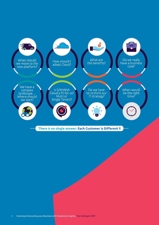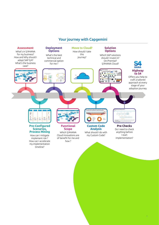# Your journey with Capgemini